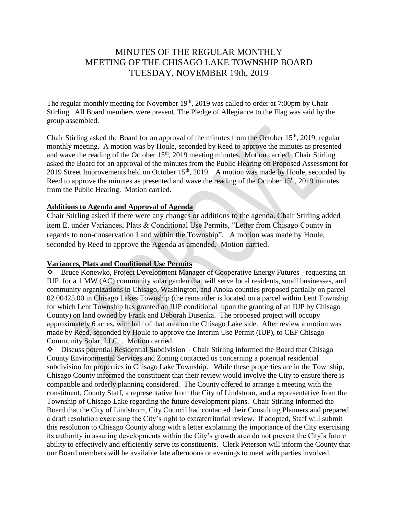# MINUTES OF THE REGULAR MONTHLY MEETING OF THE CHISAGO LAKE TOWNSHIP BOARD TUESDAY, NOVEMBER 19th, 2019

The regular monthly meeting for November  $19<sup>th</sup>$ , 2019 was called to order at 7:00pm by Chair Stirling. All Board members were present. The Pledge of Allegiance to the Flag was said by the group assembled.

Chair Stirling asked the Board for an approval of the minutes from the October 15<sup>th</sup>, 2019, regular monthly meeting. A motion was by Houle, seconded by Reed to approve the minutes as presented and wave the reading of the October 15<sup>th</sup>, 2019 meeting minutes. Motion carried. Chair Stirling asked the Board for an approval of the minutes from the Public Hearing on Proposed Assessment for 2019 Street Improvements held on October  $15<sup>th</sup>$ , 2019. A motion was made by Houle, seconded by Reed to approve the minutes as presented and wave the reading of the October  $15<sup>th</sup>$ , 2019 minutes from the Public Hearing. Motion carried.

#### **Additions to Agenda and Approval of Agenda**

Chair Stirling asked if there were any changes or additions to the agenda. Chair Stirling added item E. under Variances, Plats & Conditional Use Permits, "Letter from Chisago County in regards to non-conservation Land within the Township". A motion was made by Houle, seconded by Reed to approve the Agenda as amended. Motion carried.

# **Variances, Plats and Conditional Use Permits**

Bruce Konewko, Project Development Manager of Cooperative Energy Futures - requesting an IUP for a 1 MW (AC) community solar garden that will serve local residents, small businesses, and community organizations in Chisago, Washington, and Anoka counties proposed partially on parcel 02.00425.00 in Chisago Lakes Township (the remainder is located on a parcel within Lent Township for which Lent Township has granted an IUP conditional upon the granting of an IUP by Chisago County) on land owned by Frank and Deborah Dusenka. The proposed project will occupy approximately 6 acres, with half of that area on the Chisago Lake side. After review a motion was made by Reed, seconded by Houle to approve the Interim Use Permit (IUP), to CEF Chisago Community Solar, LLC. . Motion carried.

Discuss potential Residential Subdivision – Chair Stirling informed the Board that Chisago County Environmental Services and Zoning contacted us concerning a potential residential subdivision for properties in Chisago Lake Township. While these properties are in the Township, Chisago County informed the constituent that their review would involve the City to ensure there is compatible and orderly planning considered. The County offered to arrange a meeting with the constituent, County Staff, a representative from the City of Lindstrom, and a representative from the Township of Chisago Lake regarding the future development plans. Chair Stirling informed the Board that the City of Lindstrom, City Council had contacted their Consulting Planners and prepared a draft resolution exercising the City's right to extraterritorial review. If adopted, Staff will submit this resolution to Chisago County along with a letter explaining the importance of the City exercising its authority in assuring developments within the City's growth area do not prevent the City's future ability to effectively and efficiently serve its constituents. Clerk Peterson will inform the County that our Board members will be available late afternoons or evenings to meet with parties involved.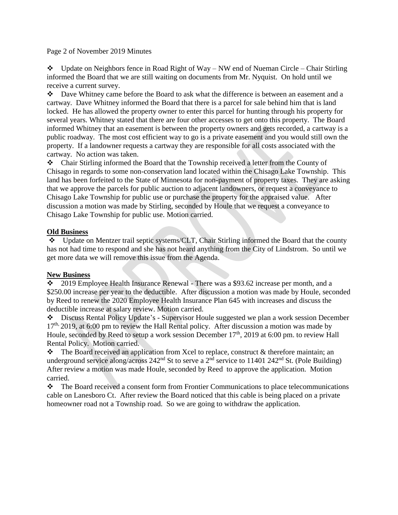Page 2 of November 2019 Minutes

 $\bullet$  Update on Neighbors fence in Road Right of Way – NW end of Nueman Circle – Chair Stirling informed the Board that we are still waiting on documents from Mr. Nyquist. On hold until we receive a current survey.

Dave Whitney came before the Board to ask what the difference is between an easement and a cartway. Dave Whitney informed the Board that there is a parcel for sale behind him that is land locked. He has allowed the property owner to enter this parcel for hunting through his property for several years. Whitney stated that there are four other accesses to get onto this property. The Board informed Whitney that an easement is between the property owners and gets recorded, a cartway is a public roadway. The most cost efficient way to go is a private easement and you would still own the property. If a landowner requests a cartway they are responsible for all costs associated with the cartway. No action was taken.

Chair Stirling informed the Board that the Township received a letter from the County of Chisago in regards to some non-conservation land located within the Chisago Lake Township. This land has been forfeited to the State of Minnesota for non-payment of property taxes. They are asking that we approve the parcels for public auction to adjacent landowners, or request a conveyance to Chisago Lake Township for public use or purchase the property for the appraised value. After discussion a motion was made by Stirling, seconded by Houle that we request a conveyance to Chisago Lake Township for public use. Motion carried.

#### **Old Business**

Update on Mentzer trail septic systems/CLT, Chair Stirling informed the Board that the county has not had time to respond and she has not heard anything from the City of Lindstrom. So until we get more data we will remove this issue from the Agenda.

## **New Business**

 $\div$  2019 Employee Health Insurance Renewal - There was a \$93.62 increase per month, and a \$250.00 increase per year to the deductible. After discussion a motion was made by Houle, seconded by Reed to renew the 2020 Employee Health Insurance Plan 645 with increases and discuss the deductible increase at salary review. Motion carried.

Discuss Rental Policy Update's - Supervisor Houle suggested we plan a work session December  $17<sup>th</sup>$ , 2019, at 6:00 pm to review the Hall Rental policy. After discussion a motion was made by Houle, seconded by Reed to setup a work session December  $17<sup>th</sup>$ , 2019 at 6:00 pm. to review Hall Rental Policy. Motion carried.

 $\bullet$  The Board received an application from Xcel to replace, construct & therefore maintain; an underground service along/across  $242<sup>nd</sup>$  St to serve a  $2<sup>nd</sup>$  service to 11401 242<sup>nd</sup> St. (Pole Building) After review a motion was made Houle, seconded by Reed to approve the application. Motion carried.

 $\bullet$  The Board received a consent form from Frontier Communications to place telecommunications cable on Lanesboro Ct. After review the Board noticed that this cable is being placed on a private homeowner road not a Township road. So we are going to withdraw the application.